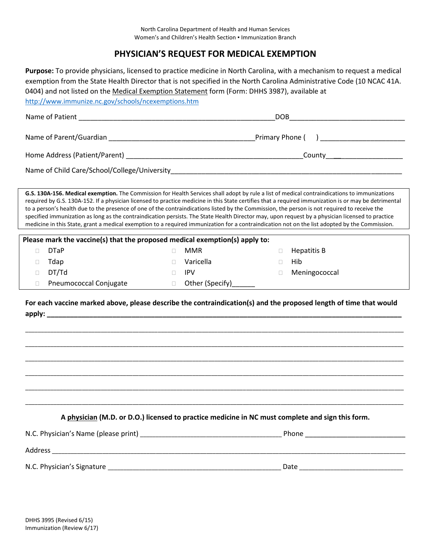## **PHYSICIAN'S REQUEST FOR MEDICAL EXEMPTION**

| Purpose: To provide physicians, licensed to practice medicine in North Carolina, with a mechanism to request a medical<br>exemption from the State Health Director that is not specified in the North Carolina Administrative Code (10 NCAC 41A.<br>0404) and not listed on the Medical Exemption Statement form (Form: DHHS 3987), available at<br>http://www.immunize.nc.gov/schools/ncexemptions.htm                                                                                                                                                                                                                                                                                                                                                      |                                 |                                                                                                  |  |
|--------------------------------------------------------------------------------------------------------------------------------------------------------------------------------------------------------------------------------------------------------------------------------------------------------------------------------------------------------------------------------------------------------------------------------------------------------------------------------------------------------------------------------------------------------------------------------------------------------------------------------------------------------------------------------------------------------------------------------------------------------------|---------------------------------|--------------------------------------------------------------------------------------------------|--|
|                                                                                                                                                                                                                                                                                                                                                                                                                                                                                                                                                                                                                                                                                                                                                              |                                 | DOB <b>DOB</b>                                                                                   |  |
|                                                                                                                                                                                                                                                                                                                                                                                                                                                                                                                                                                                                                                                                                                                                                              |                                 |                                                                                                  |  |
|                                                                                                                                                                                                                                                                                                                                                                                                                                                                                                                                                                                                                                                                                                                                                              |                                 |                                                                                                  |  |
|                                                                                                                                                                                                                                                                                                                                                                                                                                                                                                                                                                                                                                                                                                                                                              |                                 |                                                                                                  |  |
| G.S. 130A-156. Medical exemption. The Commission for Health Services shall adopt by rule a list of medical contraindications to immunizations<br>required by G.S. 130A-152. If a physician licensed to practice medicine in this State certifies that a required immunization is or may be detrimental<br>to a person's health due to the presence of one of the contraindications listed by the Commission, the person is not required to receive the<br>specified immunization as long as the contraindication persists. The State Health Director may, upon request by a physician licensed to practice<br>medicine in this State, grant a medical exemption to a required immunization for a contraindication not on the list adopted by the Commission. |                                 |                                                                                                  |  |
| Please mark the vaccine(s) that the proposed medical exemption(s) apply to:                                                                                                                                                                                                                                                                                                                                                                                                                                                                                                                                                                                                                                                                                  |                                 |                                                                                                  |  |
| <b>DTaP</b><br>П                                                                                                                                                                                                                                                                                                                                                                                                                                                                                                                                                                                                                                                                                                                                             | <b>MMR</b><br>$\Box$            | Hepatitis B<br>$\Box$                                                                            |  |
| Tdap<br>□                                                                                                                                                                                                                                                                                                                                                                                                                                                                                                                                                                                                                                                                                                                                                    | Varicella<br>$\Box$             | Hib<br>П.                                                                                        |  |
| DT/Td<br>П                                                                                                                                                                                                                                                                                                                                                                                                                                                                                                                                                                                                                                                                                                                                                   | <b>IPV</b><br>$\Box$            | Meningococcal<br>$\Box$                                                                          |  |
| Pneumococcal Conjugate<br>$\Box$                                                                                                                                                                                                                                                                                                                                                                                                                                                                                                                                                                                                                                                                                                                             | Other (Specify)______<br>$\Box$ |                                                                                                  |  |
| For each vaccine marked above, please describe the contraindication(s) and the proposed length of time that would                                                                                                                                                                                                                                                                                                                                                                                                                                                                                                                                                                                                                                            |                                 |                                                                                                  |  |
|                                                                                                                                                                                                                                                                                                                                                                                                                                                                                                                                                                                                                                                                                                                                                              |                                 |                                                                                                  |  |
|                                                                                                                                                                                                                                                                                                                                                                                                                                                                                                                                                                                                                                                                                                                                                              |                                 | A physician (M.D. or D.O.) licensed to practice medicine in NC must complete and sign this form. |  |
|                                                                                                                                                                                                                                                                                                                                                                                                                                                                                                                                                                                                                                                                                                                                                              |                                 |                                                                                                  |  |
|                                                                                                                                                                                                                                                                                                                                                                                                                                                                                                                                                                                                                                                                                                                                                              |                                 |                                                                                                  |  |
|                                                                                                                                                                                                                                                                                                                                                                                                                                                                                                                                                                                                                                                                                                                                                              |                                 |                                                                                                  |  |